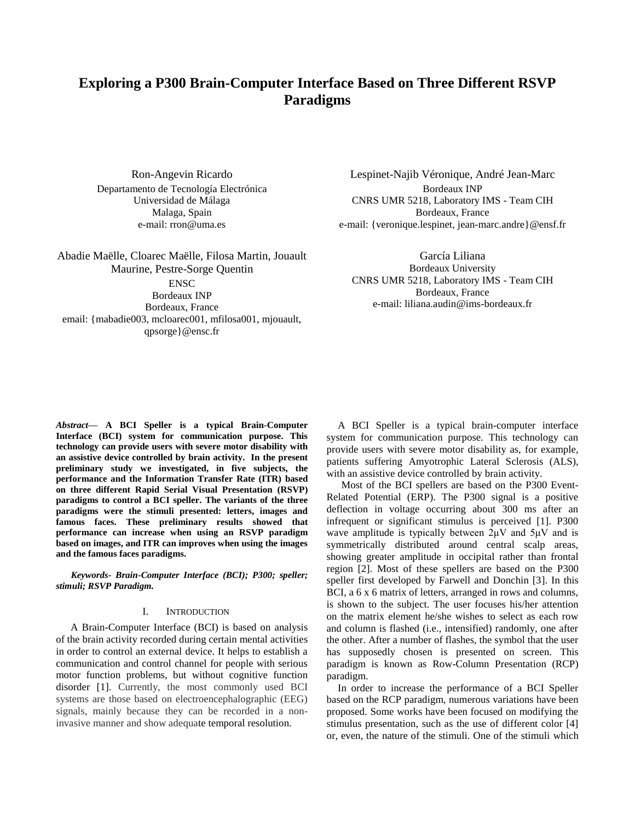# **Exploring a P300 Brain-Computer Interface Based on Three Different RSVP Paradigms**

Ron-Angevin Ricardo Departamento de Tecnología Electrónica Universidad de Málaga Malaga, Spain e-mail: rron@uma.es

Abadie Maëlle, Cloarec Maëlle, Filosa Martin, Jouault Maurine, Pestre-Sorge Quentin ENSC Bordeaux INP Bordeaux, France email: {mabadie003, mcloarec001, mfilosa001, mjouault, qpsorge}@ensc.fr

Lespinet-Najib Véronique, André Jean-Marc Bordeaux INP CNRS UMR 5218, Laboratory IMS - Team CIH Bordeaux, France e-mail: {veronique.lespinet, jean-marc.andre}@ensf.fr

García Liliana Bordeaux University CNRS UMR 5218, Laboratory IMS - Team CIH Bordeaux, France e-mail: liliana.audin@ims-bordeaux.fr

*Abstract***— A BCI Speller is a typical Brain-Computer Interface (BCI) system for communication purpose. This technology can provide users with severe motor disability with an assistive device controlled by brain activity. In the present preliminary study we investigated, in five subjects, the performance and the Information Transfer Rate (ITR) based on three different Rapid Serial Visual Presentation (RSVP) paradigms to control a BCI speller. The variants of the three paradigms were the stimuli presented: letters, images and famous faces. These preliminary results showed that performance can increase when using an RSVP paradigm based on images, and ITR can improves when using the images and the famous faces paradigms.** 

*Keywords- Brain-Computer Interface (BCI); P300; speller; stimuli; RSVP Paradigm.*

# I. INTRODUCTION

A Brain-Computer Interface (BCI) is based on analysis of the brain activity recorded during certain mental activities in order to control an external device. It helps to establish a communication and control channel for people with serious motor function problems, but without cognitive function disorder [1]. Currently, the most commonly used BCI systems are those based on electroencephalographic (EEG) signals, mainly because they can be recorded in a noninvasive manner and show adequate temporal resolution.

A BCI Speller is a typical brain-computer interface system for communication purpose. This technology can provide users with severe motor disability as, for example, patients suffering Amyotrophic Lateral Sclerosis (ALS), with an assistive device controlled by brain activity.

Most of the BCI spellers are based on the P300 Event-Related Potential (ERP). The P300 signal is a positive deflection in voltage occurring about 300 ms after an infrequent or significant stimulus is perceived [1]. P300 wave amplitude is typically between 2μV and 5μV and is symmetrically distributed around central scalp areas, showing greater amplitude in occipital rather than frontal region [2]. Most of these spellers are based on the P300 speller first developed by Farwell and Donchin [3]. In this BCI, a 6 x 6 matrix of letters, arranged in rows and columns, is shown to the subject. The user focuses his/her attention on the matrix element he/she wishes to select as each row and column is flashed (i.e., intensified) randomly, one after the other. After a number of flashes, the symbol that the user has supposedly chosen is presented on screen. This paradigm is known as Row-Column Presentation (RCP) paradigm.

In order to increase the performance of a BCI Speller based on the RCP paradigm, numerous variations have been proposed. Some works have been focused on modifying the stimulus presentation, such as the use of different color [4] or, even, the nature of the stimuli. One of the stimuli which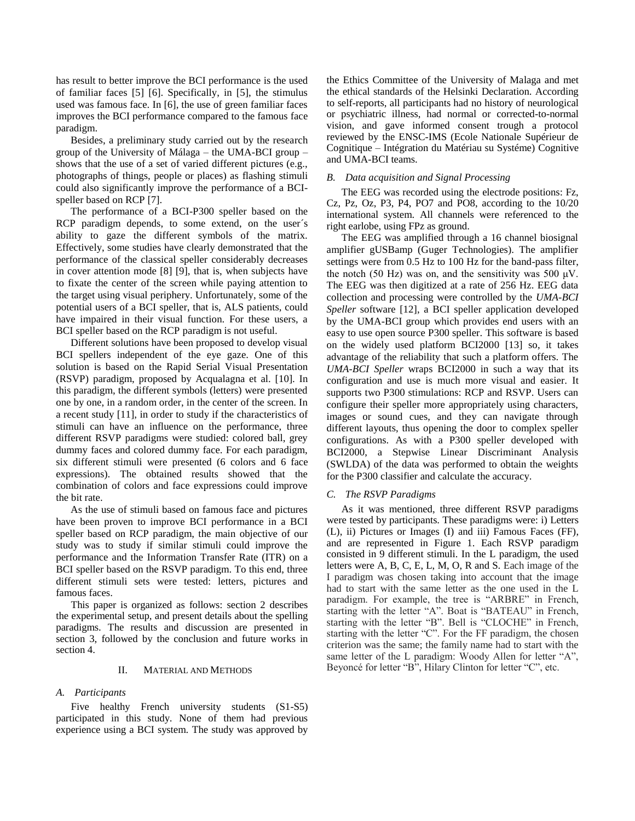has result to better improve the BCI performance is the used of familiar faces [5] [6]. Specifically, in [5], the stimulus used was famous face. In [6], the use of green familiar faces improves the BCI performance compared to the famous face paradigm.

Besides, a preliminary study carried out by the research group of the University of Málaga – the UMA-BCI group – shows that the use of a set of varied different pictures (e.g., photographs of things, people or places) as flashing stimuli could also significantly improve the performance of a BCIspeller based on RCP [7].

The performance of a BCI-P300 speller based on the RCP paradigm depends, to some extend, on the user´s ability to gaze the different symbols of the matrix. Effectively, some studies have clearly demonstrated that the performance of the classical speller considerably decreases in cover attention mode [8] [9], that is, when subjects have to fixate the center of the screen while paying attention to the target using visual periphery. Unfortunately, some of the potential users of a BCI speller, that is, ALS patients, could have impaired in their visual function. For these users, a BCI speller based on the RCP paradigm is not useful.

Different solutions have been proposed to develop visual BCI spellers independent of the eye gaze. One of this solution is based on the Rapid Serial Visual Presentation (RSVP) paradigm, proposed by Acqualagna et al. [10]. In this paradigm, the different symbols (letters) were presented one by one, in a random order, in the center of the screen. In a recent study [11], in order to study if the characteristics of stimuli can have an influence on the performance, three different RSVP paradigms were studied: colored ball, grey dummy faces and colored dummy face. For each paradigm, six different stimuli were presented (6 colors and 6 face expressions). The obtained results showed that the combination of colors and face expressions could improve the bit rate.

As the use of stimuli based on famous face and pictures have been proven to improve BCI performance in a BCI speller based on RCP paradigm, the main objective of our study was to study if similar stimuli could improve the performance and the Information Transfer Rate (ITR) on a BCI speller based on the RSVP paradigm. To this end, three different stimuli sets were tested: letters, pictures and famous faces.

This paper is organized as follows: section 2 describes the experimental setup, and present details about the spelling paradigms. The results and discussion are presented in section 3, followed by the conclusion and future works in section 4.

# II. MATERIAL AND METHODS

# *A. Participants*

Five healthy French university students (S1-S5) participated in this study. None of them had previous experience using a BCI system. The study was approved by the Ethics Committee of the University of Malaga and met the ethical standards of the Helsinki Declaration. According to self-reports, all participants had no history of neurological or psychiatric illness, had normal or corrected-to-normal vision, and gave informed consent trough a protocol reviewed by the ENSC-IMS (Ecole Nationale Supérieur de Cognitique – Intégration du Matériau su Systéme) Cognitive and UMA-BCI teams.

# *B. Data acquisition and Signal Processing*

The EEG was recorded using the electrode positions: Fz, Cz, Pz, Oz, P3, P4, PO7 and PO8, according to the 10/20 international system. All channels were referenced to the right earlobe, using FPz as ground.

The EEG was amplified through a 16 channel biosignal amplifier gUSBamp (Guger Technologies). The amplifier settings were from 0.5 Hz to 100 Hz for the band-pass filter, the notch (50 Hz) was on, and the sensitivity was 500  $\mu$ V. The EEG was then digitized at a rate of 256 Hz. EEG data collection and processing were controlled by the *UMA-BCI Speller* software [12], a BCI speller application developed by the UMA-BCI group which provides end users with an easy to use open source P300 speller. This software is based on the widely used platform BCI2000 [13] so, it takes advantage of the reliability that such a platform offers. The *UMA-BCI Speller* wraps BCI2000 in such a way that its configuration and use is much more visual and easier. It supports two P300 stimulations: RCP and RSVP. Users can configure their speller more appropriately using characters, images or sound cues, and they can navigate through different layouts, thus opening the door to complex speller configurations. As with a P300 speller developed with BCI2000, a Stepwise Linear Discriminant Analysis (SWLDA) of the data was performed to obtain the weights for the P300 classifier and calculate the accuracy.

# *C. The RSVP Paradigms*

As it was mentioned, three different RSVP paradigms were tested by participants. These paradigms were: i) Letters (L), ii) Pictures or Images (I) and iii) Famous Faces (FF), and are represented in Figure 1. Each RSVP paradigm consisted in 9 different stimuli. In the L paradigm, the used letters were A, B, C, E, L, M, O, R and S. Each image of the I paradigm was chosen taking into account that the image had to start with the same letter as the one used in the L paradigm. For example, the tree is "ARBRE" in French, starting with the letter "A". Boat is "BATEAU" in French, starting with the letter "B". Bell is "CLOCHE" in French, starting with the letter "C". For the FF paradigm, the chosen criterion was the same; the family name had to start with the same letter of the L paradigm: Woody Allen for letter "A", Beyoncé for letter "B", Hilary Clinton for letter "C", etc.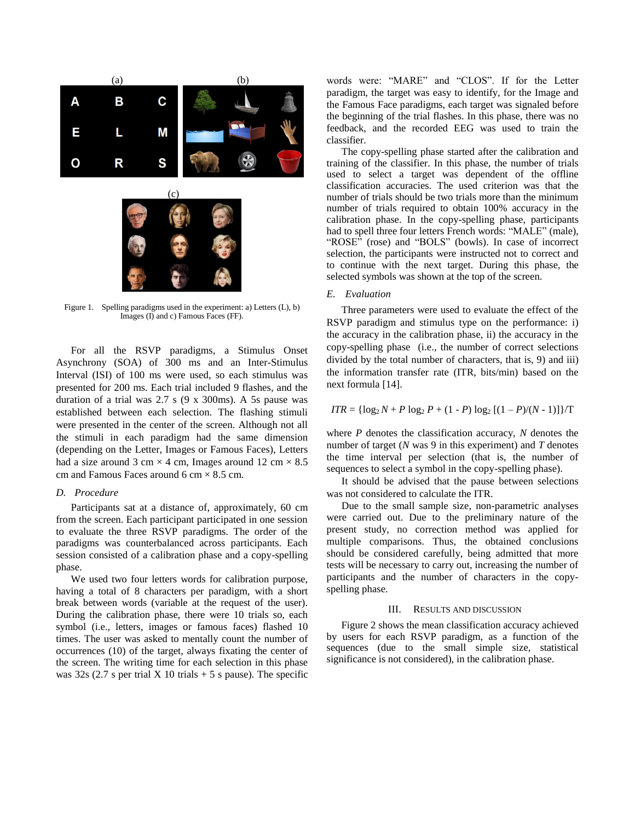

Figure 1. Spelling paradigms used in the experiment: a) Letters (L), b) Images (I) and c) Famous Faces (FF).

For all the RSVP paradigms, a Stimulus Onset Asynchrony (SOA) of 300 ms and an Inter-Stimulus Interval (ISI) of 100 ms were used, so each stimulus was presented for 200 ms. Each trial included 9 flashes, and the duration of a trial was 2.7 s (9 x 300ms). A 5s pause was established between each selection. The flashing stimuli were presented in the center of the screen. Although not all the stimuli in each paradigm had the same dimension (depending on the Letter, Images or Famous Faces), Letters had a size around 3 cm  $\times$  4 cm, Images around 12 cm  $\times$  8.5 cm and Famous Faces around 6 cm  $\times$  8.5 cm.

# *D. Procedure*

Participants sat at a distance of, approximately, 60 cm from the screen. Each participant participated in one session to evaluate the three RSVP paradigms. The order of the paradigms was counterbalanced across participants. Each session consisted of a calibration phase and a copy-spelling phase.

We used two four letters words for calibration purpose, having a total of 8 characters per paradigm, with a short break between words (variable at the request of the user). During the calibration phase, there were 10 trials so, each symbol (i.e., letters, images or famous faces) flashed 10 times. The user was asked to mentally count the number of occurrences (10) of the target, always fixating the center of the screen. The writing time for each selection in this phase was 32s (2.7 s per trial X 10 trials  $+$  5 s pause). The specific words were: "MARE" and "CLOS". If for the Letter paradigm, the target was easy to identify, for the Image and the Famous Face paradigms, each target was signaled before the beginning of the trial flashes. In this phase, there was no feedback, and the recorded EEG was used to train the classifier.

The copy-spelling phase started after the calibration and training of the classifier. In this phase, the number of trials used to select a target was dependent of the offline classification accuracies. The used criterion was that the number of trials should be two trials more than the minimum number of trials required to obtain 100% accuracy in the calibration phase. In the copy-spelling phase, participants had to spell three four letters French words: "MALE" (male), "ROSE" (rose) and "BOLS" (bowls). In case of incorrect selection, the participants were instructed not to correct and to continue with the next target. During this phase, the selected symbols was shown at the top of the screen.

# *E. Evaluation*

Three parameters were used to evaluate the effect of the RSVP paradigm and stimulus type on the performance: i) the accuracy in the calibration phase, ii) the accuracy in the copy-spelling phase (i.e., the number of correct selections divided by the total number of characters, that is, 9) and iii) the information transfer rate (ITR, bits/min) based on the next formula [14].

$$
ITR = \{ \log_2 N + P \log_2 P + (1 - P) \log_2 [(1 - P)/(N - 1)] \} / T
$$

where *P* denotes the classification accuracy, *N* denotes the number of target (*N* was 9 in this experiment) and *T* denotes the time interval per selection (that is, the number of sequences to select a symbol in the copy-spelling phase).

It should be advised that the pause between selections was not considered to calculate the ITR.

Due to the small sample size, non-parametric analyses were carried out. Due to the preliminary nature of the present study, no correction method was applied for multiple comparisons. Thus, the obtained conclusions should be considered carefully, being admitted that more tests will be necessary to carry out, increasing the number of participants and the number of characters in the copyspelling phase.

## III. RESULTS AND DISCUSSION

Figure 2 shows the mean classification accuracy achieved by users for each RSVP paradigm, as a function of the sequences (due to the small simple size, statistical significance is not considered), in the calibration phase.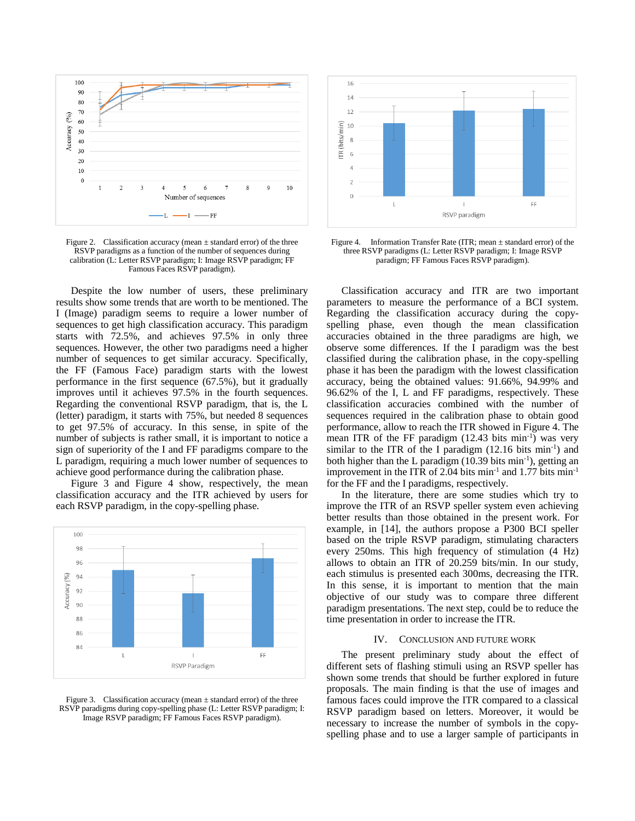

Figure 2. Classification accuracy (mean  $\pm$  standard error) of the three RSVP paradigms as a function of the number of sequences during calibration (L: Letter RSVP paradigm; I: Image RSVP paradigm; FF Famous Faces RSVP paradigm).

Despite the low number of users, these preliminary results show some trends that are worth to be mentioned. The I (Image) paradigm seems to require a lower number of sequences to get high classification accuracy. This paradigm starts with 72.5%, and achieves 97.5% in only three sequences. However, the other two paradigms need a higher number of sequences to get similar accuracy. Specifically, the FF (Famous Face) paradigm starts with the lowest performance in the first sequence (67.5%), but it gradually improves until it achieves 97.5% in the fourth sequences. Regarding the conventional RSVP paradigm, that is, the L (letter) paradigm, it starts with 75%, but needed 8 sequences to get 97.5% of accuracy. In this sense, in spite of the number of subjects is rather small, it is important to notice a sign of superiority of the I and FF paradigms compare to the L paradigm, requiring a much lower number of sequences to achieve good performance during the calibration phase.

Figure 3 and Figure 4 show, respectively, the mean classification accuracy and the ITR achieved by users for each RSVP paradigm, in the copy-spelling phase.



Figure 3. Classification accuracy (mean  $\pm$  standard error) of the three RSVP paradigms during copy-spelling phase (L: Letter RSVP paradigm; I: Image RSVP paradigm; FF Famous Faces RSVP paradigm).



Figure 4. Information Transfer Rate (ITR; mean  $\pm$  standard error) of the three RSVP paradigms (L: Letter RSVP paradigm; I: Image RSVP paradigm; FF Famous Faces RSVP paradigm).

Classification accuracy and ITR are two important parameters to measure the performance of a BCI system. Regarding the classification accuracy during the copyspelling phase, even though the mean classification accuracies obtained in the three paradigms are high, we observe some differences. If the I paradigm was the best classified during the calibration phase, in the copy-spelling phase it has been the paradigm with the lowest classification accuracy, being the obtained values: 91.66%, 94.99% and 96.62% of the I, L and FF paradigms, respectively. These classification accuracies combined with the number of sequences required in the calibration phase to obtain good performance, allow to reach the ITR showed in Figure 4. The mean ITR of the FF paradigm  $(12.43 \text{ bits min}^{-1})$  was very similar to the ITR of the I paradigm  $(12.16 \text{ bits min}^{-1})$  and both higher than the L paradigm  $(10.39 \text{ bits min}^{-1})$ , getting an improvement in the ITR of 2.04 bits  $min^{-1}$  and 1.77 bits  $min^{-1}$ for the FF and the I paradigms, respectively.

In the literature, there are some studies which try to improve the ITR of an RSVP speller system even achieving better results than those obtained in the present work. For example, in [14], the authors propose a P300 BCI speller based on the triple RSVP paradigm, stimulating characters every 250ms. This high frequency of stimulation (4 Hz) allows to obtain an ITR of 20.259 bits/min. In our study, each stimulus is presented each 300ms, decreasing the ITR. In this sense, it is important to mention that the main objective of our study was to compare three different paradigm presentations. The next step, could be to reduce the time presentation in order to increase the ITR.

#### IV. CONCLUSION AND FUTURE WORK

The present preliminary study about the effect of different sets of flashing stimuli using an RSVP speller has shown some trends that should be further explored in future proposals. The main finding is that the use of images and famous faces could improve the ITR compared to a classical RSVP paradigm based on letters. Moreover, it would be necessary to increase the number of symbols in the copyspelling phase and to use a larger sample of participants in